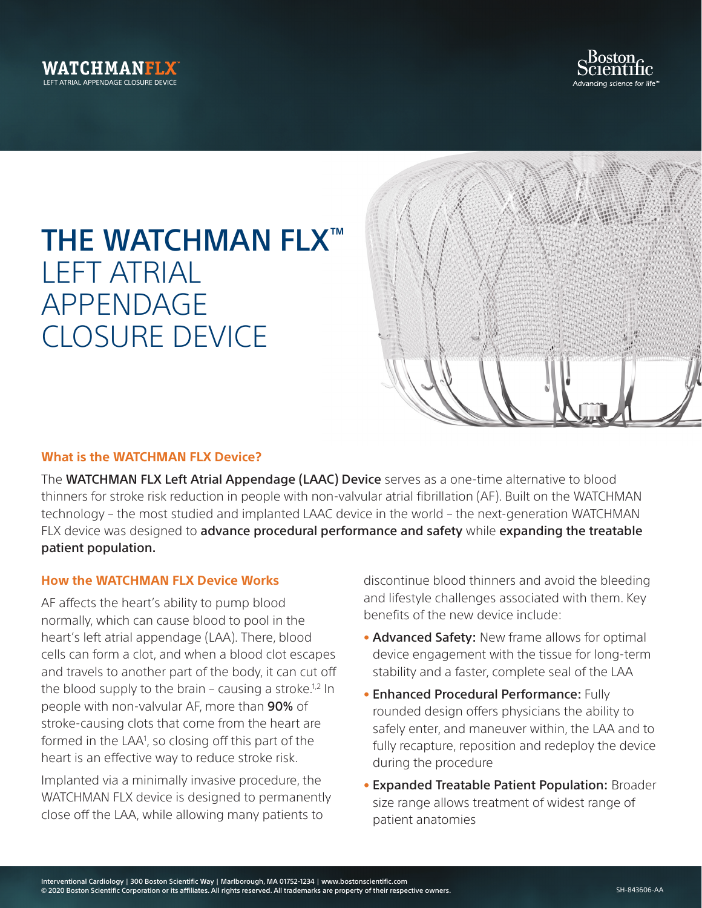



## THE WATCHMAN FLX™ LEFT ATRIAL APPENDAGE CLOSURE DEVICE



## **What is the WATCHMAN FLX Device?**

The WATCHMAN FLX Left Atrial Appendage (LAAC) Device serves as a one-time alternative to blood thinners for stroke risk reduction in people with non-valvular atrial fibrillation (AF). Built on the WATCHMAN technology – the most studied and implanted LAAC device in the world – the next-generation WATCHMAN FLX device was designed to advance procedural performance and safety while expanding the treatable patient population.

## **How the WATCHMAN FLX Device Works**

AF affects the heart's ability to pump blood normally, which can cause blood to pool in the heart's left atrial appendage (LAA). There, blood cells can form a clot, and when a blood clot escapes and travels to another part of the body, it can cut off the blood supply to the brain – causing a stroke.<sup>1,2</sup> In people with non-valvular AF, more than 90% of stroke-causing clots that come from the heart are formed in the LAA<sup>1</sup>, so closing off this part of the heart is an effective way to reduce stroke risk.

Implanted via a minimally invasive procedure, the WATCHMAN FLX device is designed to permanently close off the LAA, while allowing many patients to

discontinue blood thinners and avoid the bleeding and lifestyle challenges associated with them. Key benefits of the new device include:

- Advanced Safety: New frame allows for optimal device engagement with the tissue for long-term stability and a faster, complete seal of the LAA
- Enhanced Procedural Performance: Fully rounded design offers physicians the ability to safely enter, and maneuver within, the LAA and to fully recapture, reposition and redeploy the device during the procedure
- Expanded Treatable Patient Population: Broader size range allows treatment of widest range of patient anatomies